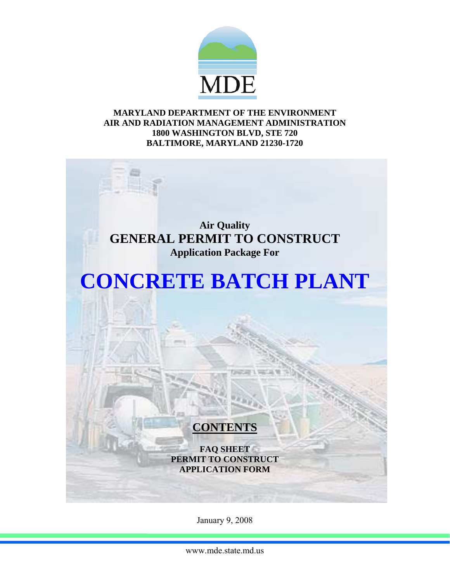

### **MARYLAND DEPARTMENT OF THE ENVIRONMENT AIR AND RADIATION MANAGEMENT ADMINISTRATION 1800 WASHINGTON BLVD, STE 720 BALTIMORE, MARYLAND 21230-1720**

**Air Quality GENERAL PERMIT TO CONSTRUCT Application Package For** 

# **CONCRETE BATCH PLANT**

## **CONTENTS**

**FAQ SHEET PERMIT TO CONSTRUCT APPLICATION FORM** 

January 9, 2008

www.mde.state.md.us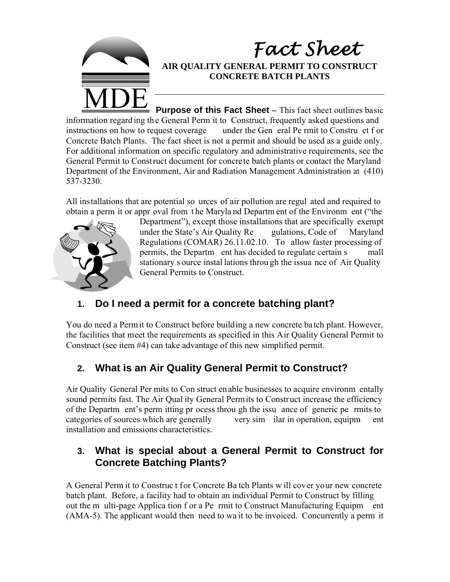

### *Fact Sheet* **AIR QUALITY GENERAL PERMIT TO CONSTRUCT CONCRETE BATCH PLANTS**

**Purpose of this Fact Sheet** – This fact sheet outlines basic information regard ing the General Perm it to Construct, frequently asked questions and instructions on how to request coverage under the General Permit to Construent of order under the Gen eral Pe rmit to Constru ct f or Concrete Batch Plants. The fact sheet is not a permit and should be used as a guide only. For additional information on specific regulatory and administrative requirements, see the General Permit to Construct document for concrete batch plants or contact the Maryland Department of the Environment, Air and Radiation Management Administration at (410) 537-3230.

All installations that are potential so urces of air pollution are regul ated and required to obtain a perm it or appr oval from t he Maryla nd Departm ent of the Environm ent ("the



Department"), except those installations that are specifically exempt under the State's Air Quality Re gulations, Code of Maryland Regulations (COMAR) 26.11.02.10. To allow faster processing of permits, the Departm ent has decided to regulate certain s mall stationary s ource instal lations throu gh the issua nce of Air Quality General Permits to Construct.

### **1. Do I need a permit for a concrete batching plant?**

You do need a Permit to Construct before building a new concrete batch plant. However, the facilities that meet the requirements as specified in this Air Quality General Permit to Construct (see item #4) can take advantage of this new simplified permit.

### **2. What is an Air Quality General Permit to Construct?**

Air Quality General Per mits to Con struct enable businesses to acquire environm entally sound permits fast. The Air Qual ity General Permits to Construct increase the efficiency of the Departm ent's perm itting pr ocess throu gh the issu ance of generic pe rmits to categories of sources which are generally very sim ilar in operation, equipm ent installation and emissions characteristics.

### **3. What is special about a General Permit to Construct for Concrete Batching Plants?**

A General Perm it to Construc t for Concrete Ba tch Plants w ill cover your new concrete batch plant. Before, a facility had to obtain an individual Permit to Construct by filling out the m ulti-page Applica tion f or a Pe rmit to Construct Manufacturing Equipm ent (AMA-5). The applicant would then need to wa it to be invoiced. Concurrently a perm it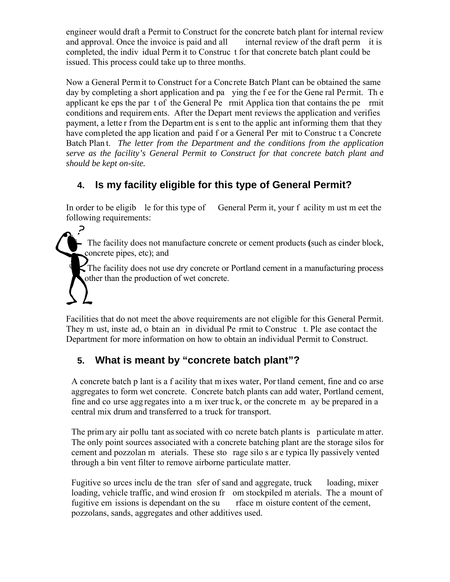engineer would draft a Permit to Construct for the concrete batch plant for internal review and approval. Once the invoice is paid and all internal review of the draft perm it is completed, the indiv idual Perm it to Construc t for that concrete batch plant could be issued. This process could take up to three months.

Now a General Perm it to Construct for a Concrete Batch Plant can be obtained the same day by completing a short application and pa ying the f ee for the Gene ral Permit. The applicant ke eps the par t of the General Pe rmit Applica tion that contains the pe rmit conditions and requirem ents. After the Depart ment reviews the application and verifies payment, a lette r from the Departm ent is s ent to the applic ant informing them that they have completed the app lication and paid f or a General Per mit to Construc t a Concrete Batch Plan t. *The letter from the Department and the conditions from the application serve as the facility's General Permit to Construct for that concrete batch plant and should be kept on-site.* 

### **4. Is my facility eligible for this type of General Permit?**

In order to be eligib le for this type of General Perm it, your f acility m ust m eet the following requirements:

& The facility does not manufacture concrete or cement products **(**such as cinder block, concrete pipes, etc); and

The facility does not use dry concrete or Portland cement in a manufacturing process other than the production of wet concrete.

Facilities that do not meet the above requirements are not eligible for this General Permit. They m ust, inste ad, o btain an in dividual Pe rmit to Construc t. Ple ase contact the Department for more information on how to obtain an individual Permit to Construct.

### **5. What is meant by "concrete batch plant"?**

A concrete batch p lant is a f acility that m ixes water, Por tland cement, fine and co arse aggregates to form wet concrete. Concrete batch plants can add water, Portland cement, fine and co urse agg regates into a m ixer truc k, or the concrete m ay be prepared in a central mix drum and transferred to a truck for transport.

The prim ary air pollu tant as sociated with co ncrete batch plants is particulate m atter. The only point sources associated with a concrete batching plant are the storage silos for cement and pozzolan m aterials. These sto rage silo s ar e typica lly passively vented through a bin vent filter to remove airborne particulate matter.

Fugitive so urces inclu de the tran sfer of sand and aggregate, truck loading, mixer loading, vehicle traffic, and wind erosion fr om stockpiled m aterials. The a mount of fugitive em issions is dependant on the su rface m oisture content of the cement, pozzolans, sands, aggregates and other additives used.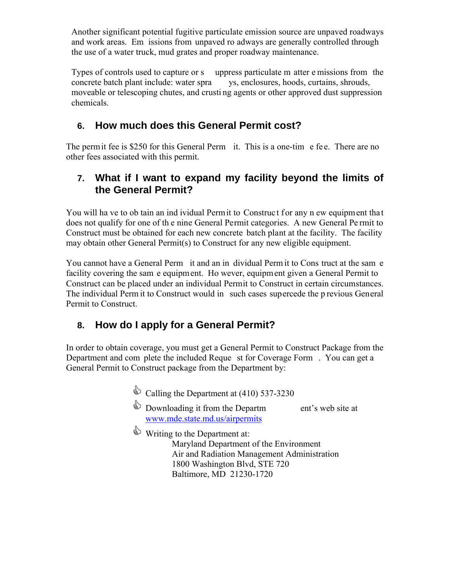Another significant potential fugitive particulate emission source are unpaved roadways and work areas. Em issions from unpaved ro adways are generally controlled through the use of a water truck, mud grates and proper roadway maintenance.

Types of controls used to capture or s uppress particulate m atter e missions from the concrete batch plant include: water spra ys, enclosures, hoods, curtains, shrouds, moveable or telescoping chutes, and crusti ng agents or other approved dust suppression chemicals.

### **6. How much does this General Permit cost?**

The permit fee is \$250 for this General Perm it. This is a one-time e fee. There are no other fees associated with this permit.

### **7. What if I want to expand my facility beyond the limits of the General Permit?**

You will ha ve to ob tain an ind ividual Permit to Construct for any n ew equipment that does not qualify for one of th e nine General Permit categories. A new General Pe rmit to Construct must be obtained for each new concrete batch plant at the facility. The facility may obtain other General Permit(s) to Construct for any new eligible equipment.

You cannot have a General Perm it and an in dividual Perm it to Cons truct at the sam e facility covering the sam e equipment. Ho wever, equipment given a General Permit to Construct can be placed under an individual Permit to Construct in certain circumstances. The individual Perm it to Construct would in such cases supercede the p revious General Permit to Construct.

### **8. How do I apply for a General Permit?**

In order to obtain coverage, you must get a General Permit to Construct Package from the Department and com plete the included Reque st for Coverage Form . You can get a General Permit to Construct package from the Department by:

- $\qquad$  Calling the Department at (410) 537-3230
- $\qquad$  Downloading it from the Departm ent's web site at [www.mde.state.md.us/airpermits](http://www.mde.state.md.us/programs/Permits/AirManagementPermits/AirQualityGeneralPermit/Pages/index.aspx)
- Writing to the Department at: Maryland Department of the Environment Air and Radiation Management Administration 1800 Washington Blvd, STE 720 Baltimore, MD 21230-1720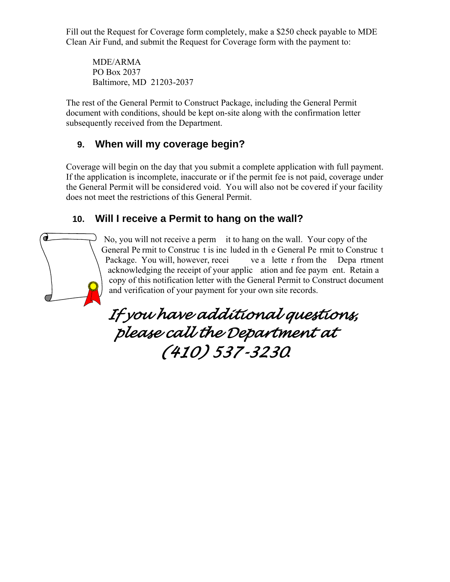Fill out the Request for Coverage form completely, make a \$250 check payable to MDE Clean Air Fund, and submit the Request for Coverage form with the payment to:

MDE/ARMA PO Box 2037 Baltimore, MD 21203-2037

The rest of the General Permit to Construct Package, including the General Permit document with conditions, should be kept on-site along with the confirmation letter subsequently received from the Department.

### **9. When will my coverage begin?**

Coverage will begin on the day that you submit a complete application with full payment. If the application is incomplete, inaccurate or if the permit fee is not paid, coverage under the General Permit will be considered void. You will also not be covered if your facility does not meet the restrictions of this General Permit.

### **10. Will I receive a Permit to hang on the wall?**



*If you have additional questions, please call the Department at (410) 537-3230.*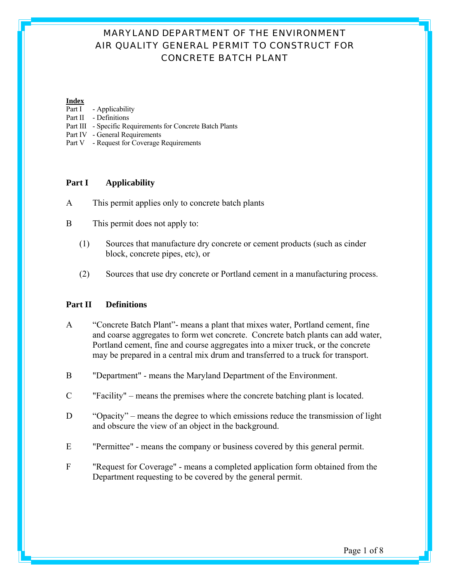#### **Index**

- Part I Applicability
- Part II Definitions
- Part III Specific Requirements for Concrete Batch Plants
- Part IV General Requirements
- Part V Request for Coverage Requirements

#### **Part I Applicability**

- A This permit applies only to concrete batch plants
- B This permit does not apply to:
	- (1) Sources that manufacture dry concrete or cement products (such as cinder block, concrete pipes, etc), or
	- (2) Sources that use dry concrete or Portland cement in a manufacturing process.

#### **Part II Definitions**

- A "Concrete Batch Plant"- means a plant that mixes water, Portland cement, fine and coarse aggregates to form wet concrete. Concrete batch plants can add water, Portland cement, fine and course aggregates into a mixer truck, or the concrete may be prepared in a central mix drum and transferred to a truck for transport.
- B "Department" means the Maryland Department of the Environment.
- C "Facility" means the premises where the concrete batching plant is located.
- D "Opacity" means the degree to which emissions reduce the transmission of light and obscure the view of an object in the background.
- E "Permittee" means the company or business covered by this general permit.
- F "Request for Coverage" means a completed application form obtained from the Department requesting to be covered by the general permit.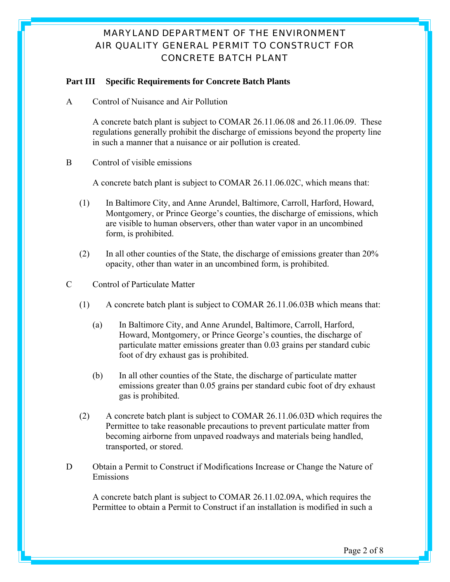#### **Part III Specific Requirements for Concrete Batch Plants**

A Control of Nuisance and Air Pollution

A concrete batch plant is subject to COMAR 26.11.06.08 and 26.11.06.09. These regulations generally prohibit the discharge of emissions beyond the property line in such a manner that a nuisance or air pollution is created.

B Control of visible emissions

A concrete batch plant is subject to COMAR 26.11.06.02C, which means that:

- (1) In Baltimore City, and Anne Arundel, Baltimore, Carroll, Harford, Howard, Montgomery, or Prince George's counties, the discharge of emissions, which are visible to human observers, other than water vapor in an uncombined form, is prohibited.
- (2) In all other counties of the State, the discharge of emissions greater than 20% opacity, other than water in an uncombined form, is prohibited.
- C Control of Particulate Matter
	- (1) A concrete batch plant is subject to COMAR 26.11.06.03B which means that:
		- (a) In Baltimore City, and Anne Arundel, Baltimore, Carroll, Harford, Howard, Montgomery, or Prince George's counties, the discharge of particulate matter emissions greater than 0.03 grains per standard cubic foot of dry exhaust gas is prohibited.
		- (b) In all other counties of the State, the discharge of particulate matter emissions greater than 0.05 grains per standard cubic foot of dry exhaust gas is prohibited.
	- (2) A concrete batch plant is subject to COMAR 26.11.06.03D which requires the Permittee to take reasonable precautions to prevent particulate matter from becoming airborne from unpaved roadways and materials being handled, transported, or stored.
- D Obtain a Permit to Construct if Modifications Increase or Change the Nature of Emissions

A concrete batch plant is subject to COMAR 26.11.02.09A, which requires the Permittee to obtain a Permit to Construct if an installation is modified in such a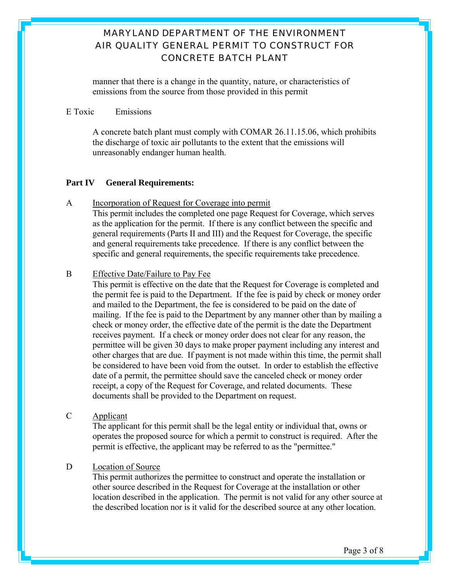manner that there is a change in the quantity, nature, or characteristics of emissions from the source from those provided in this permit

#### E Toxic Emissions

A concrete batch plant must comply with COMAR 26.11.15.06, which prohibits the discharge of toxic air pollutants to the extent that the emissions will unreasonably endanger human health.

#### **Part IV General Requirements:**

A Incorporation of Request for Coverage into permit This permit includes the completed one page Request for Coverage, which serves as the application for the permit. If there is any conflict between the specific and general requirements (Parts II and III) and the Request for Coverage, the specific and general requirements take precedence. If there is any conflict between the specific and general requirements, the specific requirements take precedence.

#### B Effective Date/Failure to Pay Fee

 This permit is effective on the date that the Request for Coverage is completed and the permit fee is paid to the Department. If the fee is paid by check or money order and mailed to the Department, the fee is considered to be paid on the date of mailing. If the fee is paid to the Department by any manner other than by mailing a check or money order, the effective date of the permit is the date the Department receives payment. If a check or money order does not clear for any reason, the permittee will be given 30 days to make proper payment including any interest and other charges that are due. If payment is not made within this time, the permit shall be considered to have been void from the outset. In order to establish the effective date of a permit, the permittee should save the canceled check or money order receipt, a copy of the Request for Coverage, and related documents. These documents shall be provided to the Department on request.

C Applicant

 The applicant for this permit shall be the legal entity or individual that, owns or operates the proposed source for which a permit to construct is required. After the permit is effective, the applicant may be referred to as the "permittee."

#### D Location of Source

 This permit authorizes the permittee to construct and operate the installation or other source described in the Request for Coverage at the installation or other location described in the application. The permit is not valid for any other source at the described location nor is it valid for the described source at any other location.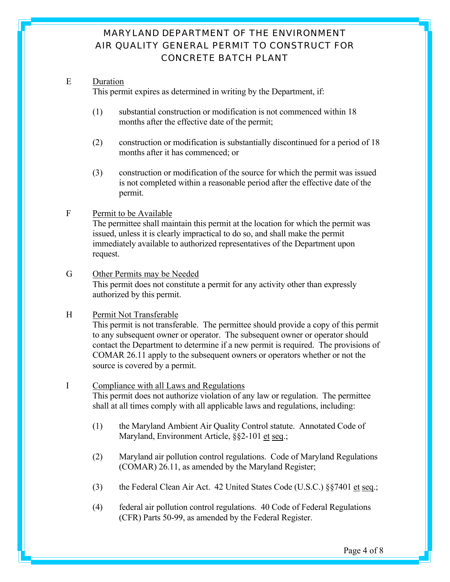#### E Duration

This permit expires as determined in writing by the Department, if:

- (1) substantial construction or modification is not commenced within 18 months after the effective date of the permit;
- (2) construction or modification is substantially discontinued for a period of 18 months after it has commenced; or
- (3) construction or modification of the source for which the permit was issued is not completed within a reasonable period after the effective date of the permit.

#### F Permit to be Available

 The permittee shall maintain this permit at the location for which the permit was issued, unless it is clearly impractical to do so, and shall make the permit immediately available to authorized representatives of the Department upon request.

G Other Permits may be Needed This permit does not constitute a permit for any activity other than expressly authorized by this permit.

#### H Permit Not Transferable

 This permit is not transferable. The permittee should provide a copy of this permit to any subsequent owner or operator. The subsequent owner or operator should contact the Department to determine if a new permit is required. The provisions of COMAR 26.11 apply to the subsequent owners or operators whether or not the source is covered by a permit.

#### I Compliance with all Laws and Regulations

 This permit does not authorize violation of any law or regulation. The permittee shall at all times comply with all applicable laws and regulations, including:

- (1) the Maryland Ambient Air Quality Control statute. Annotated Code of Maryland, Environment Article, §§2-101 et seq.;
- (2) Maryland air pollution control regulations. Code of Maryland Regulations (COMAR) 26.11, as amended by the Maryland Register;
- (3) the Federal Clean Air Act. 42 United States Code (U.S.C.) §§7401 et seq.;
- (4) federal air pollution control regulations. 40 Code of Federal Regulations (CFR) Parts 50-99, as amended by the Federal Register.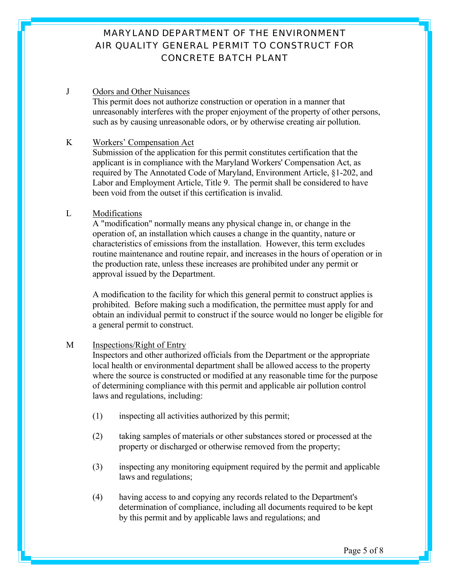#### J Odors and Other Nuisances

 This permit does not authorize construction or operation in a manner that unreasonably interferes with the proper enjoyment of the property of other persons, such as by causing unreasonable odors, or by otherwise creating air pollution.

#### K Workers' Compensation Act

 Submission of the application for this permit constitutes certification that the applicant is in compliance with the Maryland Workers' Compensation Act, as required by The Annotated Code of Maryland, Environment Article, §1-202, and Labor and Employment Article, Title 9. The permit shall be considered to have been void from the outset if this certification is invalid.

#### L Modifications

 A "modification" normally means any physical change in, or change in the operation of, an installation which causes a change in the quantity, nature or characteristics of emissions from the installation. However, this term excludes routine maintenance and routine repair, and increases in the hours of operation or in the production rate, unless these increases are prohibited under any permit or approval issued by the Department.

 A modification to the facility for which this general permit to construct applies is prohibited. Before making such a modification, the permittee must apply for and obtain an individual permit to construct if the source would no longer be eligible for a general permit to construct.

#### M Inspections/Right of Entry

 Inspectors and other authorized officials from the Department or the appropriate local health or environmental department shall be allowed access to the property where the source is constructed or modified at any reasonable time for the purpose of determining compliance with this permit and applicable air pollution control laws and regulations, including:

- (1) inspecting all activities authorized by this permit;
- (2) taking samples of materials or other substances stored or processed at the property or discharged or otherwise removed from the property;
- (3) inspecting any monitoring equipment required by the permit and applicable laws and regulations;
- (4) having access to and copying any records related to the Department's determination of compliance, including all documents required to be kept by this permit and by applicable laws and regulations; and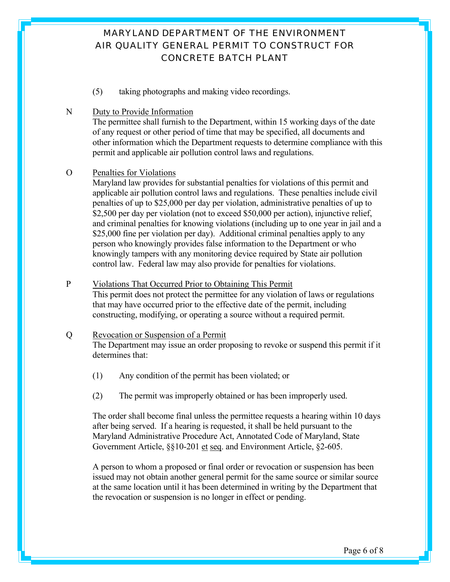(5) taking photographs and making video recordings.

#### N Duty to Provide Information

 The permittee shall furnish to the Department, within 15 working days of the date of any request or other period of time that may be specified, all documents and other information which the Department requests to determine compliance with this permit and applicable air pollution control laws and regulations.

#### O Penalties for Violations

 Maryland law provides for substantial penalties for violations of this permit and applicable air pollution control laws and regulations. These penalties include civil penalties of up to \$25,000 per day per violation, administrative penalties of up to \$2,500 per day per violation (not to exceed \$50,000 per action), injunctive relief, and criminal penalties for knowing violations (including up to one year in jail and a \$25,000 fine per violation per day). Additional criminal penalties apply to any person who knowingly provides false information to the Department or who knowingly tampers with any monitoring device required by State air pollution control law. Federal law may also provide for penalties for violations.

#### P Violations That Occurred Prior to Obtaining This Permit

 This permit does not protect the permittee for any violation of laws or regulations that may have occurred prior to the effective date of the permit, including constructing, modifying, or operating a source without a required permit.

### Q Revocation or Suspension of a Permit

 The Department may issue an order proposing to revoke or suspend this permit if it determines that:

- (1) Any condition of the permit has been violated; or
- (2) The permit was improperly obtained or has been improperly used.

 The order shall become final unless the permittee requests a hearing within 10 days after being served. If a hearing is requested, it shall be held pursuant to the Maryland Administrative Procedure Act, Annotated Code of Maryland, State Government Article, §§10-201 et seq. and Environment Article, §2-605.

 A person to whom a proposed or final order or revocation or suspension has been issued may not obtain another general permit for the same source or similar source at the same location until it has been determined in writing by the Department that the revocation or suspension is no longer in effect or pending.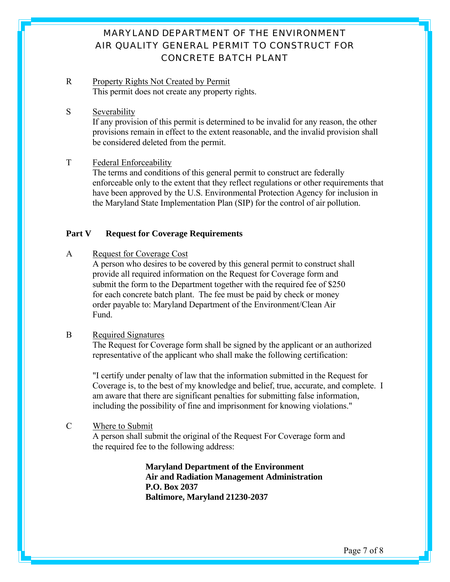- R Property Rights Not Created by Permit This permit does not create any property rights.
- S Severability

 If any provision of this permit is determined to be invalid for any reason, the other provisions remain in effect to the extent reasonable, and the invalid provision shall be considered deleted from the permit.

T Federal Enforceability

 The terms and conditions of this general permit to construct are federally enforceable only to the extent that they reflect regulations or other requirements that have been approved by the U.S. Environmental Protection Agency for inclusion in the Maryland State Implementation Plan (SIP) for the control of air pollution.

#### Part V Request for Coverage Requirements

A Request for Coverage Cost

 A person who desires to be covered by this general permit to construct shall provide all required information on the Request for Coverage form and submit the form to the Department together with the required fee of \$250 for each concrete batch plant. The fee must be paid by check or money order payable to: Maryland Department of the Environment/Clean Air Fund.

#### B Required Signatures

 The Request for Coverage form shall be signed by the applicant or an authorized representative of the applicant who shall make the following certification:

 "I certify under penalty of law that the information submitted in the Request for Coverage is, to the best of my knowledge and belief, true, accurate, and complete. I am aware that there are significant penalties for submitting false information, including the possibility of fine and imprisonment for knowing violations."

#### C Where to Submit

 A person shall submit the original of the Request For Coverage form and the required fee to the following address:

> **Maryland Department of the Environment Air and Radiation Management Administration P.O. Box 2037 Baltimore, Maryland 21230-2037**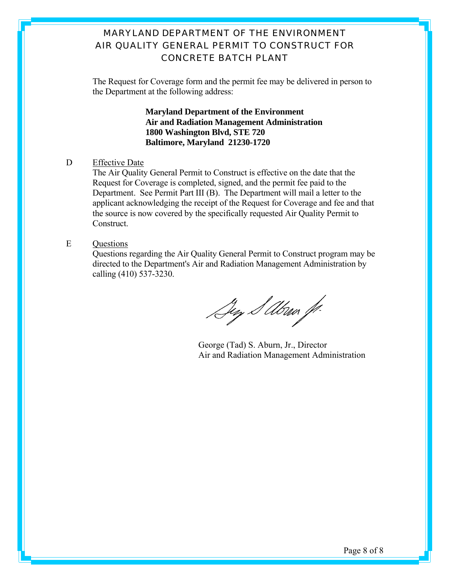The Request for Coverage form and the permit fee may be delivered in person to the Department at the following address:

> **Maryland Department of the Environment Air and Radiation Management Administration 1800 Washington Blvd, STE 720 Baltimore, Maryland 21230-1720**

#### D Effective Date

 The Air Quality General Permit to Construct is effective on the date that the Request for Coverage is completed, signed, and the permit fee paid to the Department. See Permit Part III (B). The Department will mail a letter to the applicant acknowledging the receipt of the Request for Coverage and fee and that the source is now covered by the specifically requested Air Quality Permit to Construct.

E Questions

 Questions regarding the Air Quality General Permit to Construct program may be directed to the Department's Air and Radiation Management Administration by calling (410) 537-3230.

Sey S Abru J.

George (Tad) S. Aburn, Jr., Director Air and Radiation Management Administration